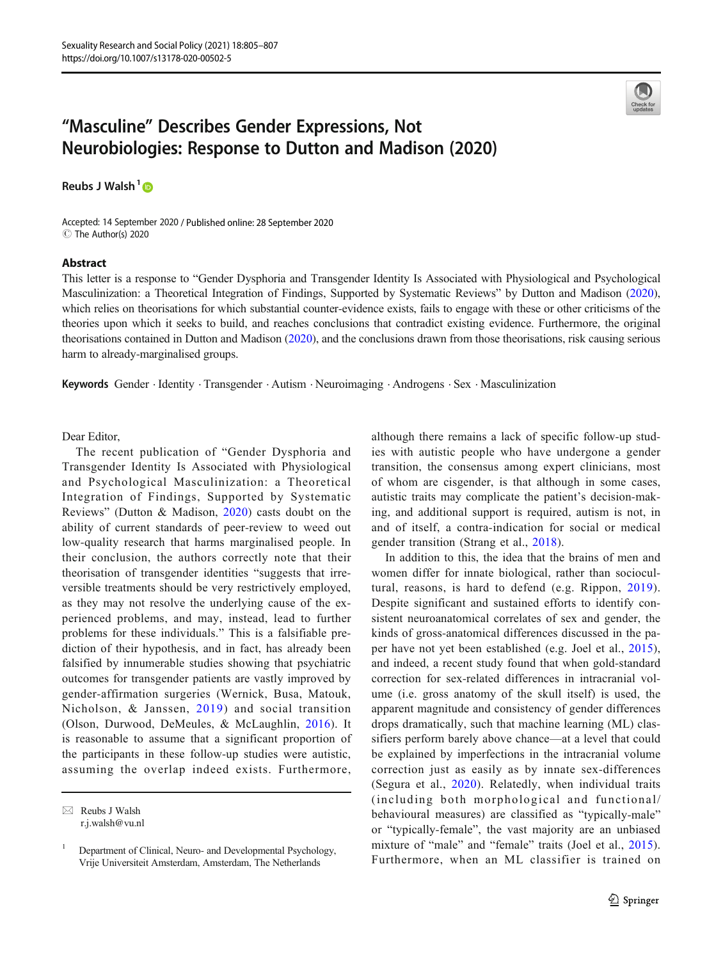## "Masculine" Describes Gender Expressions, Not Neurobiologies: Response to Dutton and Madison (2020)

Reubs J Walsh<sup>1</sup> $\bullet$ 

Accepted: 14 September 2020 / Published online: 28 September 2020 C The Author(s) 2020

## Abstract



This letter is a response to "Gender Dysphoria and Transgender Identity Is Associated with Physiological and Psychological Masculinization: a Theoretical Integration of Findings, Supported by Systematic Reviews" by Dutton and Madison [\(2020\)](#page-1-0), which relies on theorisations for which substantial counter-evidence exists, fails to engage with these or other criticisms of the theories upon which it seeks to build, and reaches conclusions that contradict existing evidence. Furthermore, the original theorisations contained in Dutton and Madison ([2020](#page-1-0)), and the conclusions drawn from those theorisations, risk causing serious harm to already-marginalised groups.

Keywords Gender . Identity . Transgender . Autism . Neuroimaging . Androgens . Sex . Masculinization

Dear Editor,

The recent publication of "Gender Dysphoria and Transgender Identity Is Associated with Physiological and Psychological Masculinization: a Theoretical Integration of Findings, Supported by Systematic Reviews" (Dutton & Madison, [2020](#page-1-0)) casts doubt on the ability of current standards of peer-review to weed out low-quality research that harms marginalised people. In their conclusion, the authors correctly note that their theorisation of transgender identities "suggests that irreversible treatments should be very restrictively employed, as they may not resolve the underlying cause of the experienced problems, and may, instead, lead to further problems for these individuals." This is a falsifiable prediction of their hypothesis, and in fact, has already been falsified by innumerable studies showing that psychiatric outcomes for transgender patients are vastly improved by gender-affirmation surgeries (Wernick, Busa, Matouk, Nicholson, & Janssen, [2019](#page-2-0)) and social transition (Olson, Durwood, DeMeules, & McLaughlin, [2016](#page-1-0)). It is reasonable to assume that a significant proportion of the participants in these follow-up studies were autistic, assuming the overlap indeed exists. Furthermore,

although there remains a lack of specific follow-up studies with autistic people who have undergone a gender transition, the consensus among expert clinicians, most of whom are cisgender, is that although in some cases, autistic traits may complicate the patient's decision-making, and additional support is required, autism is not, in and of itself, a contra-indication for social or medical gender transition (Strang et al., [2018](#page-2-0)).

In addition to this, the idea that the brains of men and women differ for innate biological, rather than sociocultural, reasons, is hard to defend (e.g. Rippon, [2019](#page-1-0)). Despite significant and sustained efforts to identify consistent neuroanatomical correlates of sex and gender, the kinds of gross-anatomical differences discussed in the paper have not yet been established (e.g. Joel et al., [2015](#page-1-0)), and indeed, a recent study found that when gold-standard correction for sex-related differences in intracranial volume (i.e. gross anatomy of the skull itself) is used, the apparent magnitude and consistency of gender differences drops dramatically, such that machine learning (ML) classifiers perform barely above chance—at a level that could be explained by imperfections in the intracranial volume correction just as easily as by innate sex-differences (Segura et al., [2020\)](#page-1-0). Relatedly, when individual traits (including both morphological and functional/ behavioural measures) are classified as "typically-male" or "typically-female", the vast majority are an unbiased mixture of "male" and "female" traits (Joel et al., [2015](#page-1-0)). Furthermore, when an ML classifier is trained on

 $\boxtimes$  Reubs J Walsh [r.j.walsh@vu.nl](mailto:r.j.walsh@vu.nl)

<sup>&</sup>lt;sup>1</sup> Department of Clinical, Neuro- and Developmental Psychology, Vrije Universiteit Amsterdam, Amsterdam, The Netherlands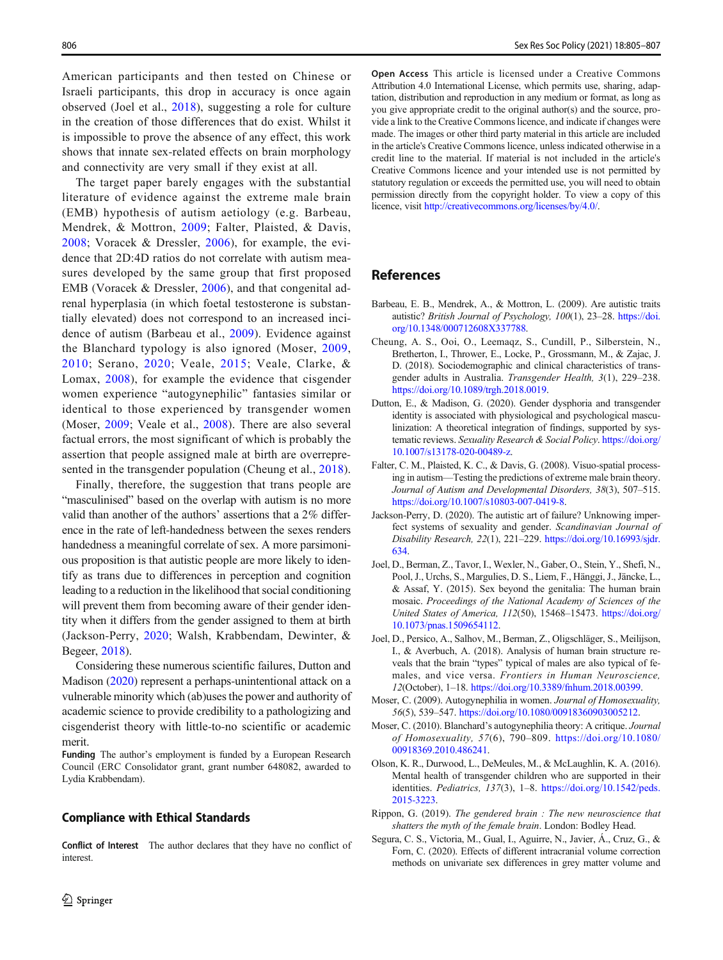<span id="page-1-0"></span>American participants and then tested on Chinese or Israeli participants, this drop in accuracy is once again observed (Joel et al., 2018), suggesting a role for culture in the creation of those differences that do exist. Whilst it is impossible to prove the absence of any effect, this work shows that innate sex-related effects on brain morphology and connectivity are very small if they exist at all.

The target paper barely engages with the substantial literature of evidence against the extreme male brain (EMB) hypothesis of autism aetiology (e.g. Barbeau, Mendrek, & Mottron, 2009; Falter, Plaisted, & Davis, 2008; Voracek & Dressler, [2006\)](#page-2-0), for example, the evidence that 2D:4D ratios do not correlate with autism measures developed by the same group that first proposed EMB (Voracek & Dressler, [2006\)](#page-2-0), and that congenital adrenal hyperplasia (in which foetal testosterone is substantially elevated) does not correspond to an increased incidence of autism (Barbeau et al., 2009). Evidence against the Blanchard typology is also ignored (Moser, 2009, 2010; Serano, [2020;](#page-2-0) Veale, [2015;](#page-2-0) Veale, Clarke, & Lomax, [2008\)](#page-2-0), for example the evidence that cisgender women experience "autogynephilic" fantasies similar or identical to those experienced by transgender women (Moser, 2009; Veale et al., [2008\)](#page-2-0). There are also several factual errors, the most significant of which is probably the assertion that people assigned male at birth are overrepresented in the transgender population (Cheung et al., 2018).

Finally, therefore, the suggestion that trans people are "masculinised" based on the overlap with autism is no more valid than another of the authors' assertions that a 2% difference in the rate of left-handedness between the sexes renders handedness a meaningful correlate of sex. A more parsimonious proposition is that autistic people are more likely to identify as trans due to differences in perception and cognition leading to a reduction in the likelihood that social conditioning will prevent them from becoming aware of their gender identity when it differs from the gender assigned to them at birth (Jackson-Perry, 2020; Walsh, Krabbendam, Dewinter, & Begeer, [2018](#page-2-0)).

Considering these numerous scientific failures, Dutton and Madison (2020) represent a perhaps-unintentional attack on a vulnerable minority which (ab)uses the power and authority of academic science to provide credibility to a pathologizing and cisgenderist theory with little-to-no scientific or academic merit.

Funding The author's employment is funded by a European Research Council (ERC Consolidator grant, grant number 648082, awarded to Lydia Krabbendam).

## Compliance with Ethical Standards

Conflict of Interest The author declares that they have no conflict of interest.

Open Access This article is licensed under a Creative Commons Attribution 4.0 International License, which permits use, sharing, adaptation, distribution and reproduction in any medium or format, as long as you give appropriate credit to the original author(s) and the source, provide a link to the Creative Commons licence, and indicate if changes were made. The images or other third party material in this article are included in the article's Creative Commons licence, unless indicated otherwise in a credit line to the material. If material is not included in the article's Creative Commons licence and your intended use is not permitted by statutory regulation or exceeds the permitted use, you will need to obtain permission directly from the copyright holder. To view a copy of this licence, visit [http://creativecommons.org/licenses/by/4.0/](https://doi.org/).

## References

- Barbeau, E. B., Mendrek, A., & Mottron, L. (2009). Are autistic traits autistic? British Journal of Psychology, 100(1), 23–28. [https://doi.](https://doi.org/10.1348/000712608X337788) [org/10.1348/000712608X337788](https://doi.org/10.1348/000712608X337788).
- Cheung, A. S., Ooi, O., Leemaqz, S., Cundill, P., Silberstein, N., Bretherton, I., Thrower, E., Locke, P., Grossmann, M., & Zajac, J. D. (2018). Sociodemographic and clinical characteristics of transgender adults in Australia. Transgender Health, 3(1), 229–238. <https://doi.org/10.1089/trgh.2018.0019>.
- Dutton, E., & Madison, G. (2020). Gender dysphoria and transgender identity is associated with physiological and psychological masculinization: A theoretical integration of findings, supported by systematic reviews. Sexuality Research & Social Policy. [https://doi.org/](https://doi.org/10.1007/s13178-020-00489-z) [10.1007/s13178-020-00489-z.](https://doi.org/10.1007/s13178-020-00489-z)
- Falter, C. M., Plaisted, K. C., & Davis, G. (2008). Visuo-spatial processing in autism—Testing the predictions of extreme male brain theory. Journal of Autism and Developmental Disorders, 38(3), 507–515. [https://doi.org/10.1007/s10803-007-0419-8.](https://doi.org/10.1007/s10803-007-0419-8)
- Jackson-Perry, D. (2020). The autistic art of failure? Unknowing imperfect systems of sexuality and gender. Scandinavian Journal of Disability Research, 22(1), 221–229. [https://doi.org/10.16993/sjdr.](https://doi.org/10.16993/sjdr.634) [634.](https://doi.org/10.16993/sjdr.634)
- Joel, D., Berman, Z., Tavor, I., Wexler, N., Gaber, O., Stein, Y., Shefi, N., Pool, J., Urchs, S., Margulies, D. S., Liem, F., Hänggi, J., Jäncke, L., & Assaf, Y. (2015). Sex beyond the genitalia: The human brain mosaic. Proceedings of the National Academy of Sciences of the United States of America, 112(50), 15468–15473. [https://doi.org/](https://doi.org/10.1073/pnas.1509654112) [10.1073/pnas.1509654112.](https://doi.org/10.1073/pnas.1509654112)
- Joel, D., Persico, A., Salhov, M., Berman, Z., Oligschläger, S., Meilijson, I., & Averbuch, A. (2018). Analysis of human brain structure reveals that the brain "types" typical of males are also typical of females, and vice versa. Frontiers in Human Neuroscience, 12(October), 1–18. [https://doi.org/10.3389/fnhum.2018.00399.](https://doi.org/10.3389/fnhum.2018.00399)
- Moser, C. (2009). Autogynephilia in women. Journal of Homosexuality, 56(5), 539–547. [https://doi.org/10.1080/00918360903005212.](https://doi.org/10.1080/00918360903005212)
- Moser, C. (2010). Blanchard's autogynephilia theory: A critique. Journal of Homosexuality, 57(6), 790–809. [https://doi.org/10.1080/](https://doi.org/10.1080/00918369.2010.486241) [00918369.2010.486241.](https://doi.org/10.1080/00918369.2010.486241)
- Olson, K. R., Durwood, L., DeMeules, M., & McLaughlin, K. A. (2016). Mental health of transgender children who are supported in their identities. Pediatrics, 137(3), 1–8. [https://doi.org/10.1542/peds.](https://doi.org/10.1542/peds.2015-3223) [2015-3223.](https://doi.org/10.1542/peds.2015-3223)
- Rippon, G. (2019). The gendered brain : The new neuroscience that shatters the myth of the female brain. London: Bodley Head.
- Segura, C. S., Victoria, M., Gual, I., Aguirre, N., Javier, Á., Cruz, G., & Forn, C. (2020). Effects of different intracranial volume correction methods on univariate sex differences in grey matter volume and